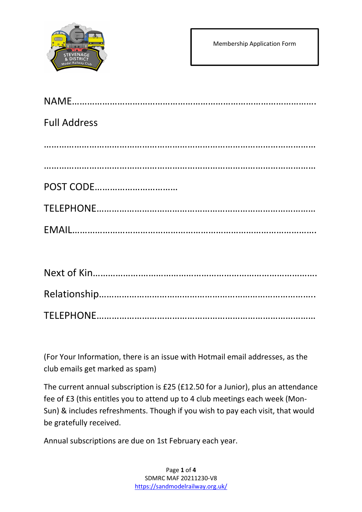

| <b>Full Address</b> |
|---------------------|
|                     |
|                     |
| POST CODE           |
|                     |
|                     |

(For Your Information, there is an issue with Hotmail email addresses, as the club emails get marked as spam)

The current annual subscription is £25 (£12.50 for a Junior), plus an attendance fee of £3 (this entitles you to attend up to 4 club meetings each week (Mon-Sun) & includes refreshments. Though if you wish to pay each visit, that would be gratefully received.

Annual subscriptions are due on 1st February each year.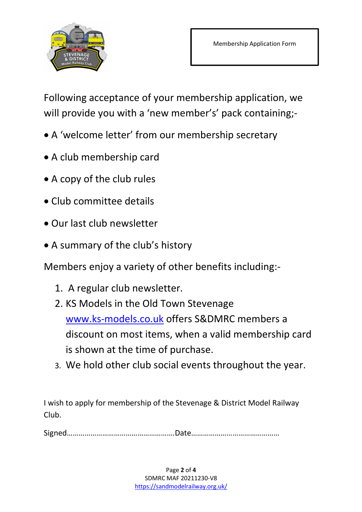

Following acceptance of your membership application, we will provide you with a 'new member's' pack containing;-

- A 'welcome letter' from our membership secretary
- A club membership card
- A copy of the club rules
- Club committee details
- Our last club newsletter
- A summary of the club's history

Members enjoy a variety of other benefits including:-

- 1. A regular club newsletter.
- 2. KS Models in the Old Town Stevenage www.ks-models.co.uk offers S&DMRC members a discount on most items, when a valid membership card is shown at the time of purchase.
- 3. We hold other club social events throughout the year.

I wish to apply for membership of the Stevenage & District Model Railway Club.

Signed……………………………………………….Date………………………………………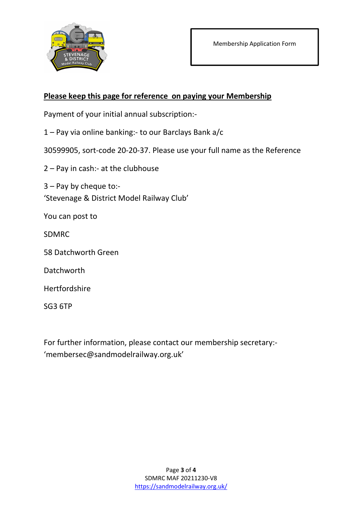

## Please keep this page for reference on paying your Membership

Payment of your initial annual subscription:-

1 – Pay via online banking:- to our Barclays Bank a/c

30599905, sort-code 20-20-37. Please use your full name as the Reference

2 – Pay in cash:- at the clubhouse

3 – Pay by cheque to:- 'Stevenage & District Model Railway Club'

You can post to

SDMRC

58 Datchworth Green

**Datchworth** 

Hertfordshire

SG3 6TP

For further information, please contact our membership secretary:- 'membersec@sandmodelrailway.org.uk'